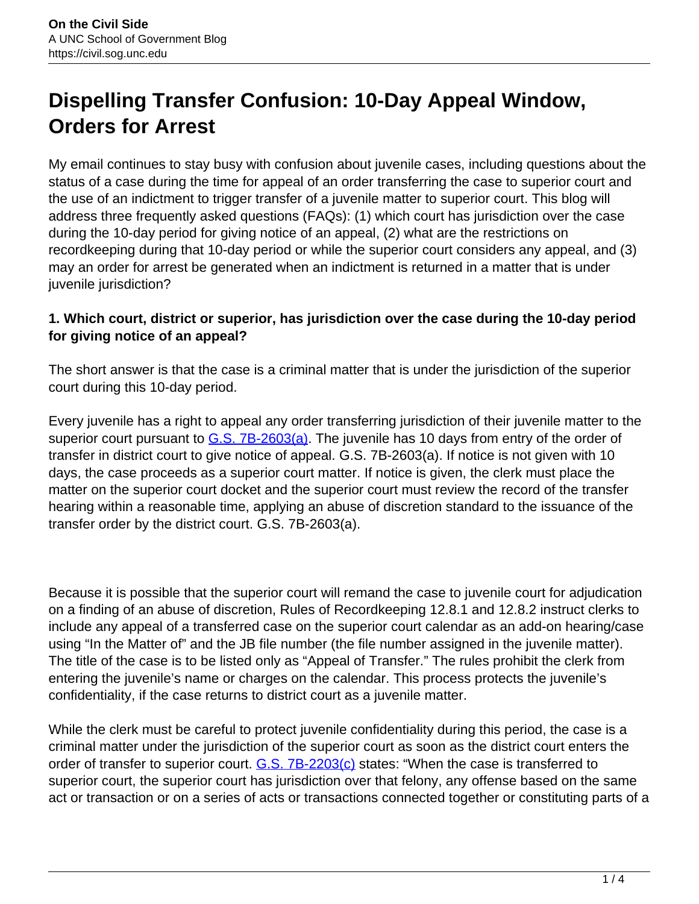# **Dispelling Transfer Confusion: 10-Day Appeal Window, Orders for Arrest**

My email continues to stay busy with confusion about juvenile cases, including questions about the status of a case during the time for appeal of an order transferring the case to superior court and the use of an indictment to trigger transfer of a juvenile matter to superior court. This blog will address three frequently asked questions (FAQs): (1) which court has jurisdiction over the case during the 10-day period for giving notice of an appeal, (2) what are the restrictions on recordkeeping during that 10-day period or while the superior court considers any appeal, and (3) may an order for arrest be generated when an indictment is returned in a matter that is under juvenile jurisdiction?

## **1. Which court, district or superior, has jurisdiction over the case during the 10-day period for giving notice of an appeal?**

The short answer is that the case is a criminal matter that is under the jurisdiction of the superior court during this 10-day period.

Every juvenile has a right to appeal any order transferring jurisdiction of their juvenile matter to the superior court pursuant to  $G.S. 7B-2603(a)$ . The juvenile has 10 days from entry of the order of transfer in district court to give notice of appeal. G.S. 7B-2603(a). If notice is not given with 10 days, the case proceeds as a superior court matter. If notice is given, the clerk must place the matter on the superior court docket and the superior court must review the record of the transfer hearing within a reasonable time, applying an abuse of discretion standard to the issuance of the transfer order by the district court. G.S. 7B-2603(a).

Because it is possible that the superior court will remand the case to juvenile court for adjudication on a finding of an abuse of discretion, Rules of Recordkeeping 12.8.1 and 12.8.2 instruct clerks to include any appeal of a transferred case on the superior court calendar as an add-on hearing/case using "In the Matter of" and the JB file number (the file number assigned in the juvenile matter). The title of the case is to be listed only as "Appeal of Transfer." The rules prohibit the clerk from entering the juvenile's name or charges on the calendar. This process protects the juvenile's confidentiality, if the case returns to district court as a juvenile matter.

While the clerk must be careful to protect juvenile confidentiality during this period, the case is a criminal matter under the jurisdiction of the superior court as soon as the district court enters the order of transfer to superior court. G.S. 7B-2203(c) states: "When the case is transferred to superior court, the superior court has jurisdiction over that felony, any offense based on the same act or transaction or on a series of acts or transactions connected together or constituting parts of a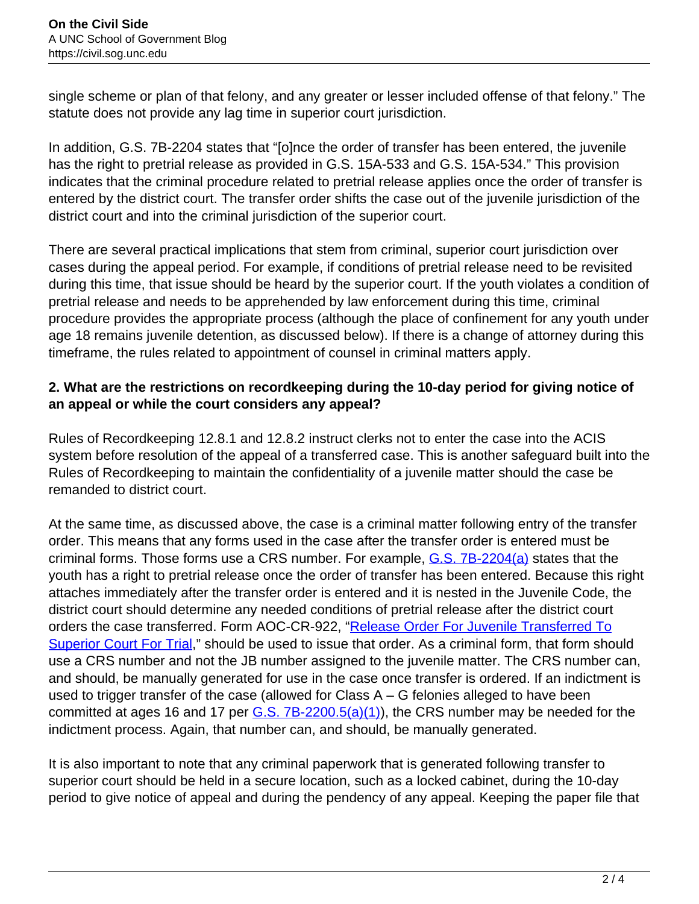single scheme or plan of that felony, and any greater or lesser included offense of that felony." The statute does not provide any lag time in superior court jurisdiction.

In addition, G.S. 7B-2204 states that "[o]nce the order of transfer has been entered, the juvenile has the right to pretrial release as provided in G.S. 15A-533 and G.S. 15A-534." This provision indicates that the criminal procedure related to pretrial release applies once the order of transfer is entered by the district court. The transfer order shifts the case out of the juvenile jurisdiction of the district court and into the criminal jurisdiction of the superior court.

There are several practical implications that stem from criminal, superior court jurisdiction over cases during the appeal period. For example, if conditions of pretrial release need to be revisited during this time, that issue should be heard by the superior court. If the youth violates a condition of pretrial release and needs to be apprehended by law enforcement during this time, criminal procedure provides the appropriate process (although the place of confinement for any youth under age 18 remains juvenile detention, as discussed below). If there is a change of attorney during this timeframe, the rules related to appointment of counsel in criminal matters apply.

## **2. What are the restrictions on recordkeeping during the 10-day period for giving notice of an appeal or while the court considers any appeal?**

Rules of Recordkeeping 12.8.1 and 12.8.2 instruct clerks not to enter the case into the ACIS system before resolution of the appeal of a transferred case. This is another safeguard built into the Rules of Recordkeeping to maintain the confidentiality of a juvenile matter should the case be remanded to district court.

At the same time, as discussed above, the case is a criminal matter following entry of the transfer order. This means that any forms used in the case after the transfer order is entered must be criminal forms. Those forms use a CRS number. For example, G.S. 7B-2204(a) states that the youth has a right to pretrial release once the order of transfer has been entered. Because this right attaches immediately after the transfer order is entered and it is nested in the Juvenile Code, the district court should determine any needed conditions of pretrial release after the district court orders the case transferred. Form AOC-CR-922, "Release Order For Juvenile Transferred To Superior Court For Trial," should be used to issue that order. As a criminal form, that form should use a CRS number and not the JB number assigned to the juvenile matter. The CRS number can, and should, be manually generated for use in the case once transfer is ordered. If an indictment is used to trigger transfer of the case (allowed for Class A – G felonies alleged to have been committed at ages 16 and 17 per  $G.S.$  7B-2200.5(a)(1)), the CRS number may be needed for the indictment process. Again, that number can, and should, be manually generated.

It is also important to note that any criminal paperwork that is generated following transfer to superior court should be held in a secure location, such as a locked cabinet, during the 10-day period to give notice of appeal and during the pendency of any appeal. Keeping the paper file that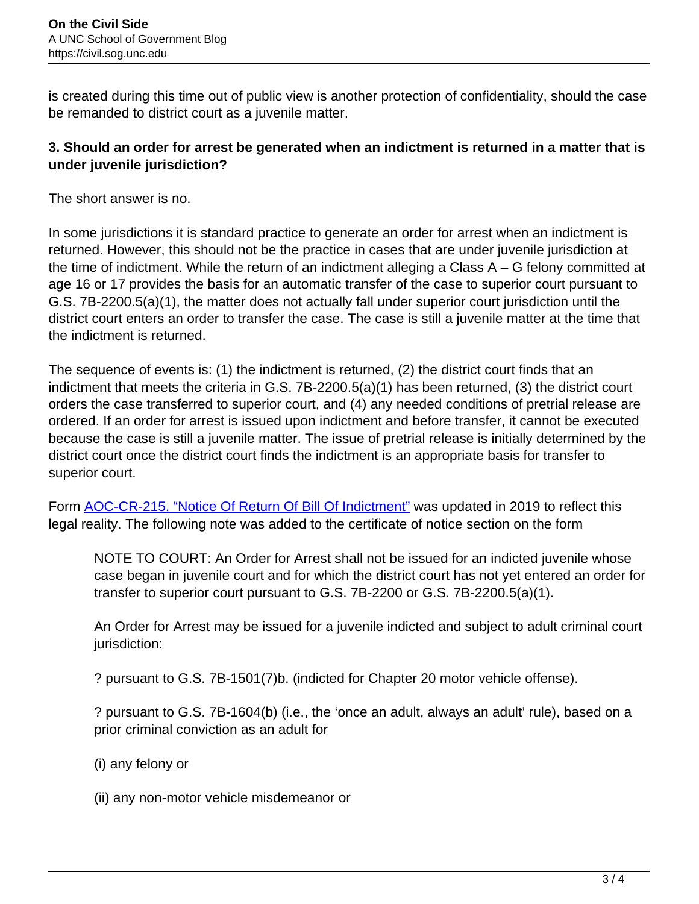is created during this time out of public view is another protection of confidentiality, should the case be remanded to district court as a juvenile matter.

### **3. Should an order for arrest be generated when an indictment is returned in a matter that is under juvenile jurisdiction?**

The short answer is no.

In some jurisdictions it is standard practice to generate an order for arrest when an indictment is returned. However, this should not be the practice in cases that are under juvenile jurisdiction at the time of indictment. While the return of an indictment alleging a Class A – G felony committed at age 16 or 17 provides the basis for an automatic transfer of the case to superior court pursuant to G.S. 7B-2200.5(a)(1), the matter does not actually fall under superior court jurisdiction until the district court enters an order to transfer the case. The case is still a juvenile matter at the time that the indictment is returned.

The sequence of events is: (1) the indictment is returned, (2) the district court finds that an indictment that meets the criteria in G.S. 7B-2200.5(a)(1) has been returned, (3) the district court orders the case transferred to superior court, and (4) any needed conditions of pretrial release are ordered. If an order for arrest is issued upon indictment and before transfer, it cannot be executed because the case is still a juvenile matter. The issue of pretrial release is initially determined by the district court once the district court finds the indictment is an appropriate basis for transfer to superior court.

Form **AOC-CR-215, "Notice Of Return Of Bill Of Indictment"** was updated in 2019 to reflect this legal reality. The following note was added to the certificate of notice section on the form

NOTE TO COURT: An Order for Arrest shall not be issued for an indicted juvenile whose case began in juvenile court and for which the district court has not yet entered an order for transfer to superior court pursuant to G.S. 7B-2200 or G.S. 7B-2200.5(a)(1).

An Order for Arrest may be issued for a juvenile indicted and subject to adult criminal court jurisdiction:

? pursuant to G.S. 7B-1501(7)b. (indicted for Chapter 20 motor vehicle offense).

? pursuant to G.S. 7B-1604(b) (i.e., the 'once an adult, always an adult' rule), based on a prior criminal conviction as an adult for

- (i) any felony or
- (ii) any non-motor vehicle misdemeanor or